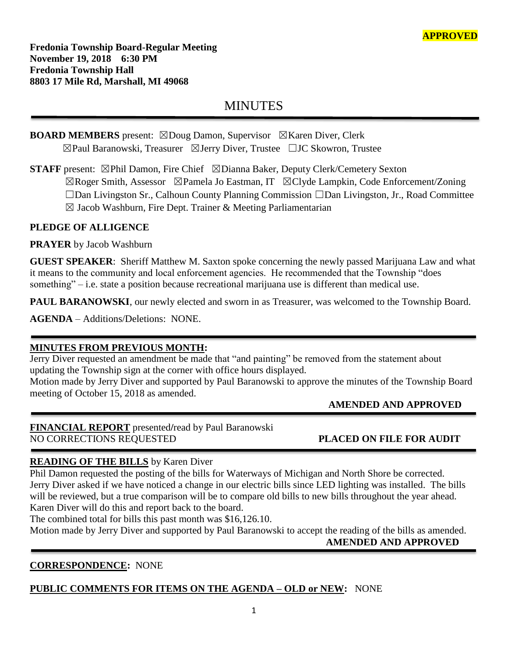**Fredonia Township Board-Regular Meeting November 19, 2018 6:30 PM Fredonia Township Hall 8803 17 Mile Rd, Marshall, MI 49068**

# MINUTES

# **BOARD MEMBERS** present: ⊠Doug Damon, Supervisor ⊠Karen Diver, Clerk ☒Paul Baranowski, Treasurer ☒Jerry Diver, Trustee ☐JC Skowron, Trustee

**STAFF** present: ⊠Phil Damon, Fire Chief ⊠Dianna Baker, Deputy Clerk/Cemetery Sexton ☒Roger Smith, Assessor ☒Pamela Jo Eastman, IT ☒Clyde Lampkin, Code Enforcement/Zoning ☐Dan Livingston Sr., Calhoun County Planning Commission ☐Dan Livingston, Jr., Road Committee  $\boxtimes$  Jacob Washburn, Fire Dept. Trainer & Meeting Parliamentarian

# **PLEDGE OF ALLIGENCE**

**PRAYER** by Jacob Washburn

**GUEST SPEAKER**: Sheriff Matthew M. Saxton spoke concerning the newly passed Marijuana Law and what it means to the community and local enforcement agencies. He recommended that the Township "does something" – i.e. state a position because recreational marijuana use is different than medical use.

**PAUL BARANOWSKI**, our newly elected and sworn in as Treasurer, was welcomed to the Township Board.

**AGENDA** – Additions/Deletions: NONE.

# **MINUTES FROM PREVIOUS MONTH:**

Jerry Diver requested an amendment be made that "and painting" be removed from the statement about updating the Township sign at the corner with office hours displayed.

Motion made by Jerry Diver and supported by Paul Baranowski to approve the minutes of the Township Board meeting of October 15, 2018 as amended.

# **AMENDED AND APPROVED**

**FINANCIAL REPORT** presented**/**read by Paul Baranowski NO CORRECTIONS REQUESTED **PLACED ON FILE FOR AUDIT**

# **READING OF THE BILLS** by Karen Diver

Phil Damon requested the posting of the bills for Waterways of Michigan and North Shore be corrected. Jerry Diver asked if we have noticed a change in our electric bills since LED lighting was installed. The bills will be reviewed, but a true comparison will be to compare old bills to new bills throughout the year ahead. Karen Diver will do this and report back to the board.

The combined total for bills this past month was \$16,126.10.

Motion made by Jerry Diver and supported by Paul Baranowski to accept the reading of the bills as amended.  **AMENDED AND APPROVED**

# **CORRESPONDENCE:** NONE

# **PUBLIC COMMENTS FOR ITEMS ON THE AGENDA – OLD or NEW:** NONE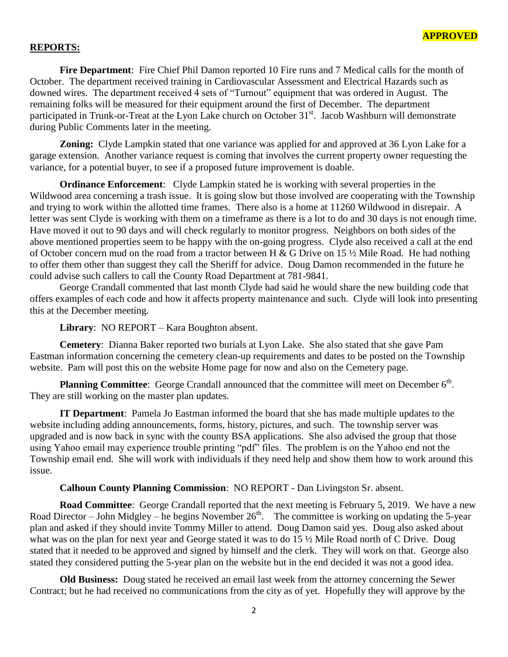#### **REPORTS:**

**Fire Department**: Fire Chief Phil Damon reported 10 Fire runs and 7 Medical calls for the month of October. The department received training in Cardiovascular Assessment and Electrical Hazards such as downed wires. The department received 4 sets of "Turnout" equipment that was ordered in August. The remaining folks will be measured for their equipment around the first of December. The department participated in Trunk-or-Treat at the Lyon Lake church on October 31<sup>st</sup>. Jacob Washburn will demonstrate during Public Comments later in the meeting.

**Zoning:** Clyde Lampkin stated that one variance was applied for and approved at 36 Lyon Lake for a garage extension. Another variance request is coming that involves the current property owner requesting the variance, for a potential buyer, to see if a proposed future improvement is doable.

**Ordinance Enforcement**: Clyde Lampkin stated he is working with several properties in the Wildwood area concerning a trash issue. It is going slow but those involved are cooperating with the Township and trying to work within the allotted time frames. There also is a home at 11260 Wildwood in disrepair. A letter was sent Clyde is working with them on a timeframe as there is a lot to do and 30 days is not enough time. Have moved it out to 90 days and will check regularly to monitor progress. Neighbors on both sides of the above mentioned properties seem to be happy with the on-going progress. Clyde also received a call at the end of October concern mud on the road from a tractor between H & G Drive on 15 ½ Mile Road. He had nothing to offer them other than suggest they call the Sheriff for advice. Doug Damon recommended in the future he could advise such callers to call the County Road Department at 781-9841.

George Crandall commented that last month Clyde had said he would share the new building code that offers examples of each code and how it affects property maintenance and such. Clyde will look into presenting this at the December meeting.

#### **Library**: NO REPORT – Kara Boughton absent.

**Cemetery**: Dianna Baker reported two burials at Lyon Lake. She also stated that she gave Pam Eastman information concerning the cemetery clean-up requirements and dates to be posted on the Township website. Pam will post this on the website Home page for now and also on the Cemetery page.

Planning Committee: George Crandall announced that the committee will meet on December 6<sup>th</sup>. They are still working on the master plan updates.

**IT Department**: Pamela Jo Eastman informed the board that she has made multiple updates to the website including adding announcements, forms, history, pictures, and such. The township server was upgraded and is now back in sync with the county BSA applications. She also advised the group that those using Yahoo email may experience trouble printing "pdf" files. The problem is on the Yahoo end not the Township email end. She will work with individuals if they need help and show them how to work around this issue.

#### **Calhoun County Planning Commission**: NO REPORT - Dan Livingston Sr. absent.

**Road Committee**: George Crandall reported that the next meeting is February 5, 2019. We have a new Road Director – John Midgley – he begins November  $26<sup>th</sup>$ . The committee is working on updating the 5-year plan and asked if they should invite Tommy Miller to attend. Doug Damon said yes. Doug also asked about what was on the plan for next year and George stated it was to do 15 ½ Mile Road north of C Drive. Doug stated that it needed to be approved and signed by himself and the clerk. They will work on that. George also stated they considered putting the 5-year plan on the website but in the end decided it was not a good idea.

**Old Business:** Doug stated he received an email last week from the attorney concerning the Sewer Contract; but he had received no communications from the city as of yet. Hopefully they will approve by the